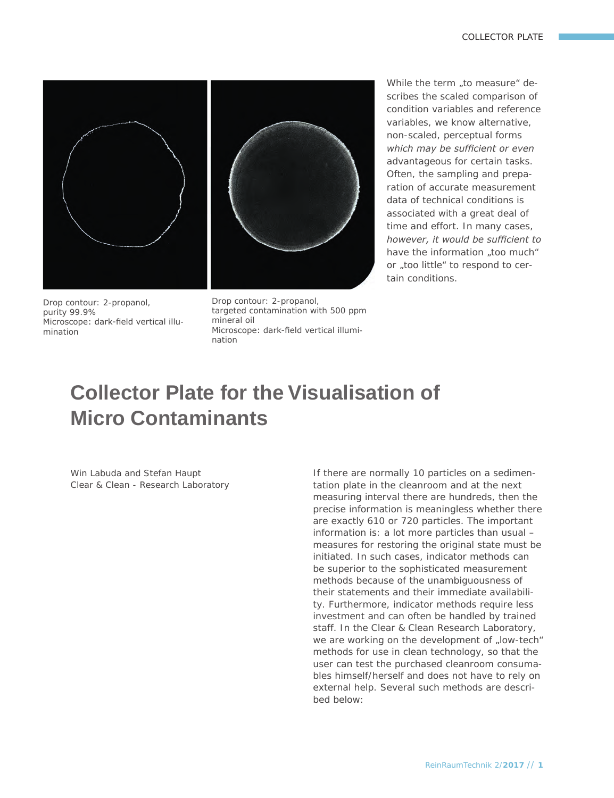## COLLECTOR PLATE



Drop contour: 2-propanol, purity 99.9% Microscope: dark-field vertical illumination

Drop contour: 2-propanol, targeted contamination with 500 ppm mineral oil Microscope: dark-field vertical illumination

*While the term "to measure" describes the scaled comparison of condition variables and reference variables, we know alternative, non-scaled, perceptual forms which may be sufficient or even advantageous for certain tasks. Often, the sampling and preparation of accurate measurement data of technical conditions is associated with a great deal of time and effort. In many cases, however, it would be sufficient to have the information "too much" or "too little" to respond to certain conditions.* 

# **Collector Plate for the Visualisation of Micro Contaminants**

*Win Labuda and Stefan Haupt* Clear & Clean - Research Laboratory *If there are normally 10 particles on a sedimentation plate in the cleanroom and at the next measuring interval there are hundreds, then the precise information is meaningless whether there are exactly 610 or 720 particles. The important information is: a lot more particles than usual – measures for restoring the original state must be initiated. In such cases, indicator methods can be superior to the sophisticated measurement methods because of the unambiguousness of their statements and their immediate availability. Furthermore, indicator methods require less investment and can often be handled by trained staff. In the Clear & Clean Research Laboratory,*  we are working on the development of "low-tech" *methods for use in clean technology, so that the user can test the purchased cleanroom consumables himself/herself and does not have to rely on external help. Several such methods are described below:*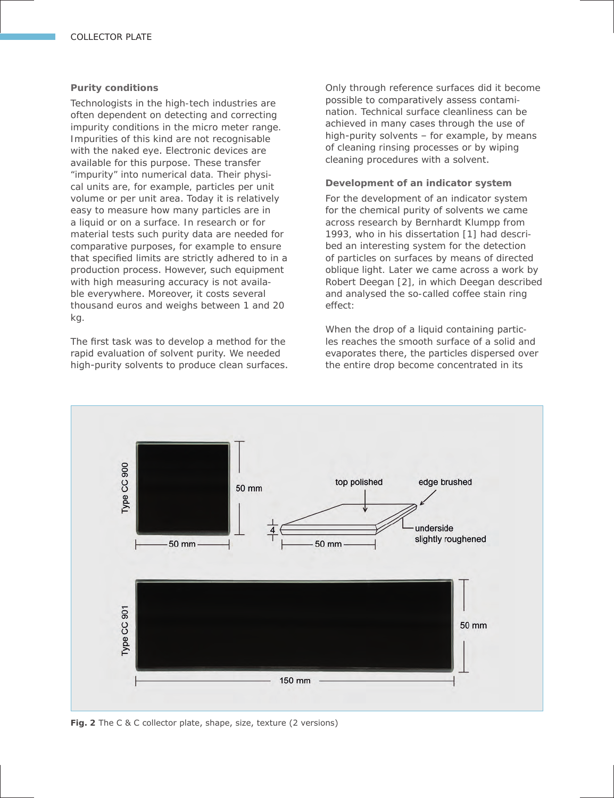## **Purity conditions**

Technologists in the high-tech industries are often dependent on detecting and correcting impurity conditions in the micro meter range. Impurities of this kind are not recognisable with the naked eye. Electronic devices are available for this purpose. These transfer "impurity" into numerical data. Their physical units are, for example, particles per unit volume or per unit area. Today it is relatively easy to measure how many particles are in a liquid or on a surface. In research or for material tests such purity data are needed for comparative purposes, for example to ensure that specified limits are strictly adhered to in a production process. However, such equipment with high measuring accuracy is not available everywhere. Moreover, it costs several thousand euros and weighs between 1 and 20 kg.

The first task was to develop a method for the rapid evaluation of solvent purity. We needed high-purity solvents to produce clean surfaces. Only through reference surfaces did it become possible to comparatively assess contamination. Technical surface cleanliness can be achieved in many cases through the use of high-purity solvents – for example, by means of cleaning rinsing processes or by wiping cleaning procedures with a solvent.

## **Development of an indicator system**

For the development of an indicator system for the chemical purity of solvents we came across research by Bernhardt Klumpp from 1993, who in his dissertation [1] had described an interesting system for the detection of particles on surfaces by means of directed oblique light. Later we came across a work by Robert Deegan [2], in which Deegan described and analysed the so-called coffee stain ring effect:

When the drop of a liquid containing particles reaches the smooth surface of a solid and evaporates there, the particles dispersed over the entire drop become concentrated in its



**Fig. 2** The C & C collector plate, shape, size, texture (2 versions)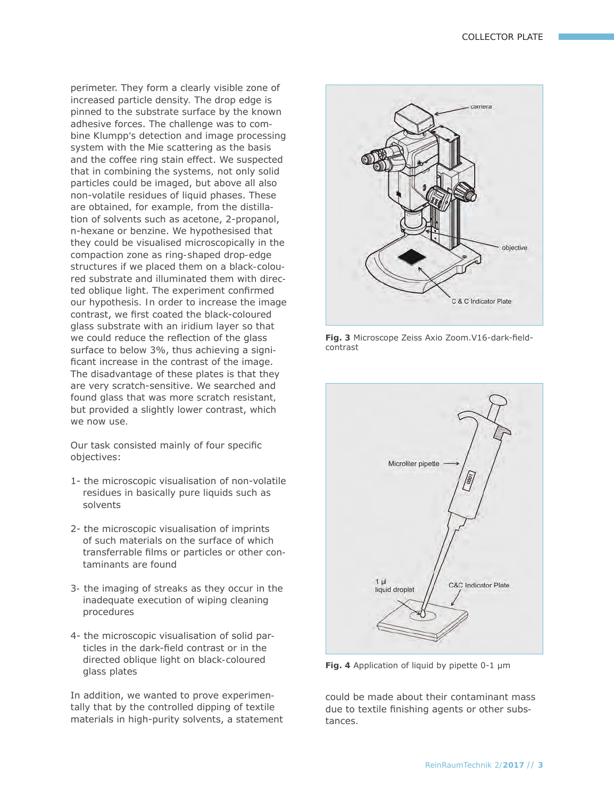perimeter. They form a clearly visible zone of increased particle density. The drop edge is pinned to the substrate surface by the known adhesive forces. The challenge was to combine Klumpp's detection and image processing system with the Mie scattering as the basis and the coffee ring stain effect. We suspected that in combining the systems, not only solid particles could be imaged, but above all also non-volatile residues of liquid phases. These are obtained, for example, from the distillation of solvents such as acetone, 2-propanol, n-hexane or benzine. We hypothesised that they could be visualised microscopically in the compaction zone as ring-shaped drop-edge structures if we placed them on a black-coloured substrate and illuminated them with directed oblique light. The experiment confirmed our hypothesis. In order to increase the image contrast, we first coated the black-coloured glass substrate with an iridium layer so that we could reduce the reflection of the glass surface to below 3%, thus achieving a significant increase in the contrast of the image. The disadvantage of these plates is that they are very scratch-sensitive. We searched and found glass that was more scratch resistant, but provided a slightly lower contrast, which We now use.

Our task consisted mainly of four specific objectives:

- 1- the microscopic visualisation of non-volatile residues in basically pure liquids such as solvents
- 2- the microscopic visualisation of imprints of such materials on the surface of which transferrable films or particles or other contaminants are found
- 3- the imaging of streaks as they occur in the inadequate execution of wiping cleaning procedures
- 4- the microscopic visualisation of solid particles in the dark-field contrast or in the directed oblique light on black-coloured glass plates

In addition, we wanted to prove experimentally that by the controlled dipping of textile materials in high-purity solvents, a statement



**Fig. 3** Microscope Zeiss Axio Zoom.V16-dark-fieldcontrast



**Fig. 4** Application of liquid by pipette 0-1 μm

could be made about their contaminant mass due to textile finishing agents or other substances.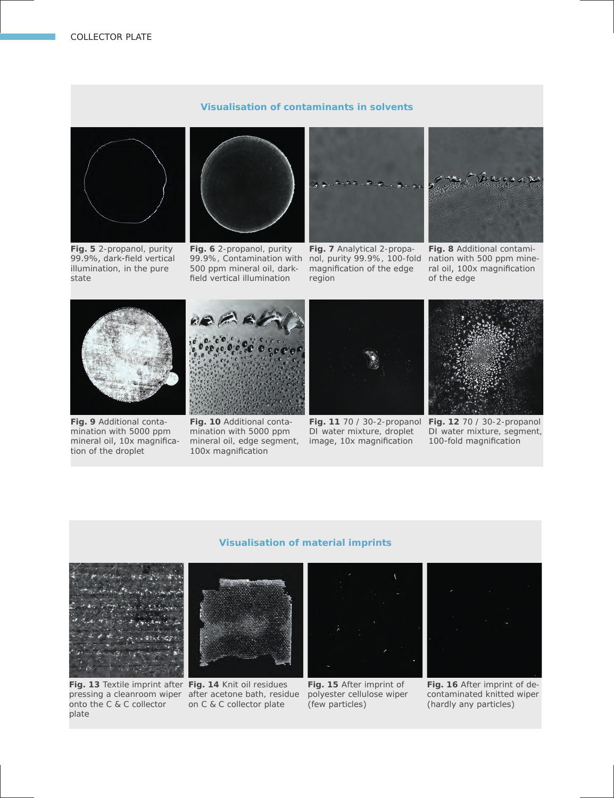

**Fig. 5** 2-propanol, purity 99.9%, dark-field vertical illumination, in the pure state



**Fig. 6** 2-propanol, purity 500 ppm mineral oil, darkfield vertical illumination



**Visualisation of contaminants in solvents**

99.9%, Contamination with nol, purity 99.9%, 100-fold nation with 500 ppm mine-**Fig. 7** Analytical 2-propamagnification of the edge region



**Fig. 8** Additional contamiral oil, 100x magnification of the edge



**Fig. 9** Additional contamination with 5000 ppm mineral oil, 10x magnification of the droplet



**Fig. 10** Additional contamination with 5000 ppm mineral oil, edge segment, 100x magnification



DI water mixture, droplet image, 10x magnification



**Fig. 12** 70 / 30-2-propanol **Fig. 11** 70 / 30-2-propanol DI water mixture, segment, 100-fold magnification

## **Visualisation of material imprints**



Fig. 13 Textile imprint after Fig. 14 Knit oil residues pressing a cleanroom wiper after acetone bath, residue onto the C & C collector plate



on C & C collector plate



**Fig. 15** After imprint of polyester cellulose wiper (few particles)



**Fig. 16** After imprint of decontaminated knitted wiper (hardly any particles)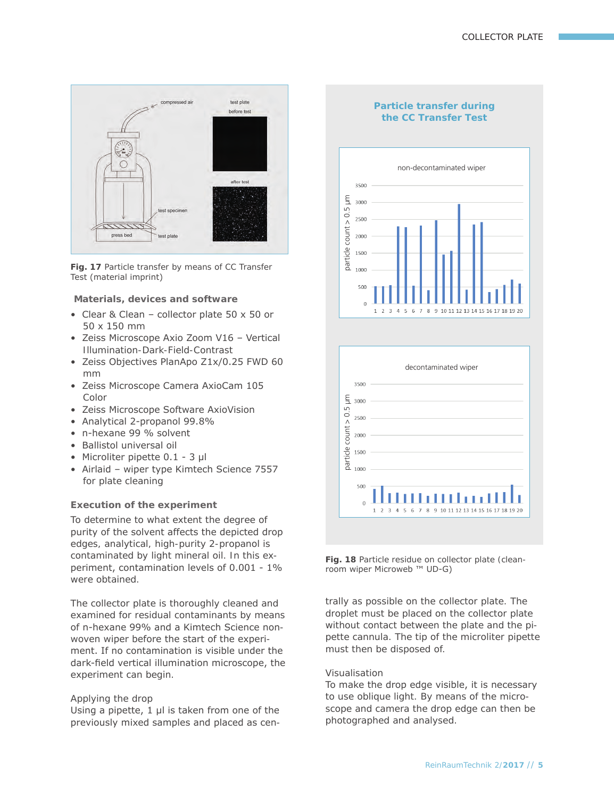

**Fig. 17** Particle transfer by means of CC Transfer Test (material imprint)

**Materials, devices and software**

- Clear & Clean collector plate 50 x 50 or 50 x 150 mm
- Zeiss Microscope Axio Zoom V16 Vertical Illumination-Dark-Field-Contrast
- Zeiss Objectives PlanApo Z1x/0.25 FWD 60 mm
- Zeiss Microscope Camera AxioCam 105 Color
- Zeiss Microscope Software AxioVision
- Analytical 2-propanol 99.8%
- n-hexane 99 % solvent
- Ballistol universal oil
- Microliter pipette 0.1 3 μl
- Airlaid wiper type Kimtech Science 7557 for plate cleaning

# **Execution of the experiment**

To determine to what extent the degree of purity of the solvent affects the depicted drop edges, analytical, high-purity 2-propanol is contaminated by light mineral oil. In this experiment, contamination levels of 0.001 - 1% were obtained.

The collector plate is thoroughly cleaned and examined for residual contaminants by means of n-hexane 99% and a Kimtech Science nonwoven wiper before the start of the experiment. If no contamination is visible under the dark-field vertical illumination microscope, the experiment can begin.

#### Applying the drop

Using a pipette, 1 μl is taken from one of the previously mixed samples and placed as cen-

# **Particle transfer during the CC Transfer Test**





**Fig. 18** Particle residue on collector plate (cleanroom wiper Microweb ™ UD-G)

trally as possible on the collector plate. The droplet must be placed on the collector plate without contact between the plate and the pipette cannula. The tip of the microliter pipette must then be disposed of.

### Visualisation

To make the drop edge visible, it is necessary to use oblique light. By means of the microscope and camera the drop edge can then be photographed and analysed.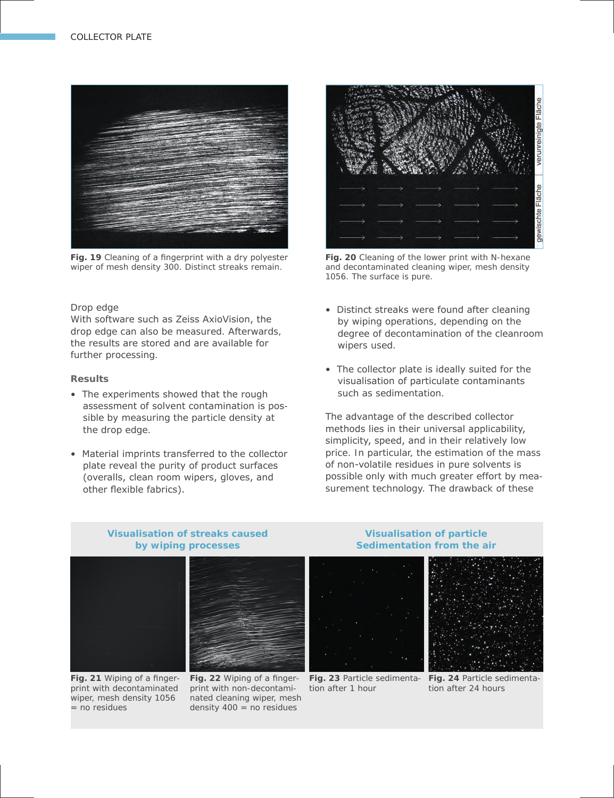

**Fig. 19** Cleaning of a fingerprint with a dry polyester wiper of mesh density 300. Distinct streaks remain.

### Drop edge

With software such as Zeiss AxioVision, the drop edge can also be measured. Afterwards, the results are stored and are available for further processing.

#### **Results**

- The experiments showed that the rough assessment of solvent contamination is possible by measuring the particle density at the drop edge.
- Material imprints transferred to the collector plate reveal the purity of product surfaces (overalls, clean room wipers, gloves, and other flexible fabrics).



**Fig. 20** Cleaning of the lower print with N-hexane and decontaminated cleaning wiper, mesh density 1056. The surface is pure.

- Distinct streaks were found after cleaning by wiping operations, depending on the degree of decontamination of the cleanroom wipers used.
- The collector plate is ideally suited for the visualisation of particulate contaminants such as sedimentation.

The advantage of the described collector methods lies in their universal applicability, simplicity, speed, and in their relatively low price. In particular, the estimation of the mass of non-volatile residues in pure solvents is possible only with much greater effort by measurement technology. The drawback of these

# **Visualisation of streaks caused by wiping processes**



**Fig. 21** Wiping of a fingerprint with decontaminated wiper, mesh density 1056  $=$  no residues

**Fig. 22** Wiping of a finger-**Fig. 24** Particle sedimenta-**Fig. 23** Particle sedimentaprint with non-decontaminated cleaning wiper, mesh density  $400 = no$  residues

# **Visualisation of particle Sedimentation from the air**

tion after 1 hour



tion after 24 hours